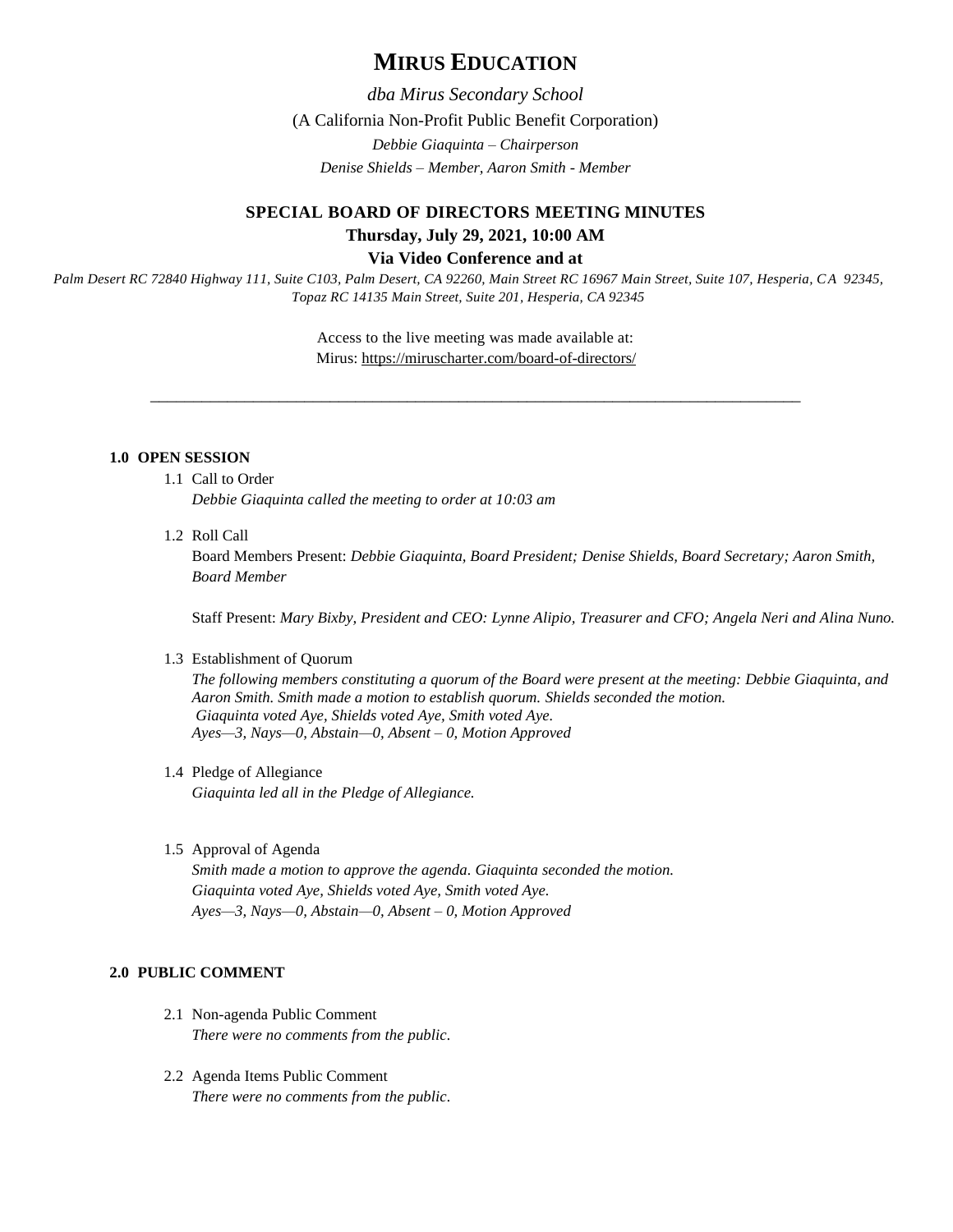# **MIRUS EDUCATION**

*dba Mirus Secondary School*

(A California Non-Profit Public Benefit Corporation)

*Debbie Giaquinta – Chairperson*

*Denise Shields – Member, Aaron Smith - Member*

# **SPECIAL BOARD OF DIRECTORS MEETING MINUTES Thursday, July 29, 2021, 10:00 AM Via Video Conference and at**

*Palm Desert RC 72840 Highway 111, Suite C103, Palm Desert, CA 92260, Main Street RC 16967 Main Street, Suite 107, Hesperia, CA 92345, Topaz RC 14135 Main Street, Suite 201, Hesperia, CA 92345*

> Access to the live meeting was made available at: Mirus:<https://miruscharter.com/board-of-directors/>

\_\_\_\_\_\_\_\_\_\_\_\_\_\_\_\_\_\_\_\_\_\_\_\_\_\_\_\_\_\_\_\_\_\_\_\_\_\_\_\_\_\_\_\_\_\_\_\_\_\_\_\_\_\_\_\_\_\_\_\_\_\_\_\_\_\_\_\_\_\_\_\_\_\_\_\_

# **1.0 OPEN SESSION**

- 1.1 Call to Order *Debbie Giaquinta called the meeting to order at 10:03 am*
- 1.2 Roll Call

Board Members Present: *Debbie Giaquinta, Board President; Denise Shields, Board Secretary; Aaron Smith, Board Member*

Staff Present: *Mary Bixby, President and CEO: Lynne Alipio, Treasurer and CFO; Angela Neri and Alina Nuno.*

## 1.3 Establishment of Quorum

*The following members constituting a quorum of the Board were present at the meeting: Debbie Giaquinta, and Aaron Smith. Smith made a motion to establish quorum. Shields seconded the motion. Giaquinta voted Aye, Shields voted Aye, Smith voted Aye. Ayes—3, Nays—0, Abstain—0, Absent – 0, Motion Approved*

- 1.4 Pledge of Allegiance *Giaquinta led all in the Pledge of Allegiance.*
- 1.5 Approval of Agenda

*Smith made a motion to approve the agenda. Giaquinta seconded the motion. Giaquinta voted Aye, Shields voted Aye, Smith voted Aye. Ayes—3, Nays—0, Abstain—0, Absent – 0, Motion Approved*

## **2.0 PUBLIC COMMENT**

- 2.1 Non-agenda Public Comment *There were no comments from the public.*
- 2.2 Agenda Items Public Comment *There were no comments from the public.*